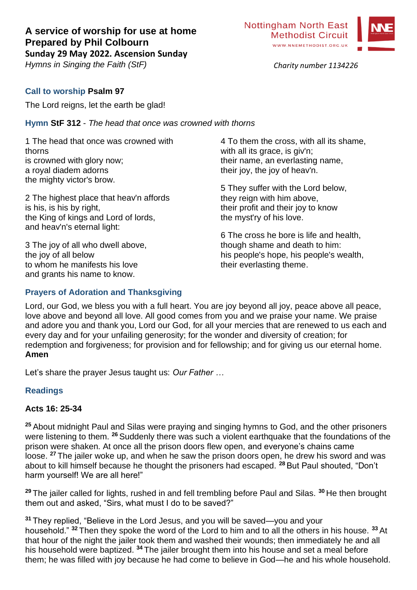# **A service of worship for use at home Prepared by Phil Colbourn Sunday 29 May 2022. Ascension Sunday**

*Hymns in Singing the Faith (StF)*

## **Call to worship Psalm 97**

The Lord reigns, let the earth be glad!

**Hymn StF 312** - *The head that once was crowned with thorns*

1 The head that once was crowned with thorns is crowned with glory now; a royal diadem adorns the mighty victor's brow.

2 The highest place that heav'n affords is his, is his by right, the King of kings and Lord of lords, and heav'n's eternal light:

3 The joy of all who dwell above, the joy of all below to whom he manifests his love and grants his name to know.

4 To them the cross, with all its shame, with all its grace, is giv'n; their name, an everlasting name, their joy, the joy of heav'n.

*Charity number 1134226*

5 They suffer with the Lord below, they reign with him above, their profit and their joy to know the myst'ry of his love.

6 The cross he bore is life and health, though shame and death to him: his people's hope, his people's wealth, their everlasting theme.

## **Prayers of Adoration and Thanksgiving**

Lord, our God, we bless you with a full heart. You are joy beyond all joy, peace above all peace, love above and beyond all love. All good comes from you and we praise your name. We praise and adore you and thank you, Lord our God, for all your mercies that are renewed to us each and every day and for your unfailing generosity; for the wonder and diversity of creation; for redemption and forgiveness; for provision and for fellowship; and for giving us our eternal home. **Amen**

Let's share the prayer Jesus taught us: *Our Father …*

## **Readings**

## **Acts 16: 25-34**

**<sup>25</sup>** About midnight Paul and Silas were praying and singing hymns to God, and the other prisoners were listening to them. <sup>26</sup> Suddenly there was such a violent earthquake that the foundations of the prison were shaken. At once all the prison doors flew open, and everyone's chains came loose. **<sup>27</sup>** The jailer woke up, and when he saw the prison doors open, he drew his sword and was about to kill himself because he thought the prisoners had escaped. **<sup>28</sup>** But Paul shouted, "Don't harm yourself! We are all here!"

**<sup>29</sup>** The jailer called for lights, rushed in and fell trembling before Paul and Silas. **<sup>30</sup>** He then brought them out and asked, "Sirs, what must I do to be saved?"

**<sup>31</sup>** They replied, "Believe in the Lord Jesus, and you will be saved—you and your household." **<sup>32</sup>** Then they spoke the word of the Lord to him and to all the others in his house. **<sup>33</sup>** At that hour of the night the jailer took them and washed their wounds; then immediately he and all his household were baptized. **<sup>34</sup>** The jailer brought them into his house and set a meal before them; he was filled with joy because he had come to believe in God—he and his whole household.

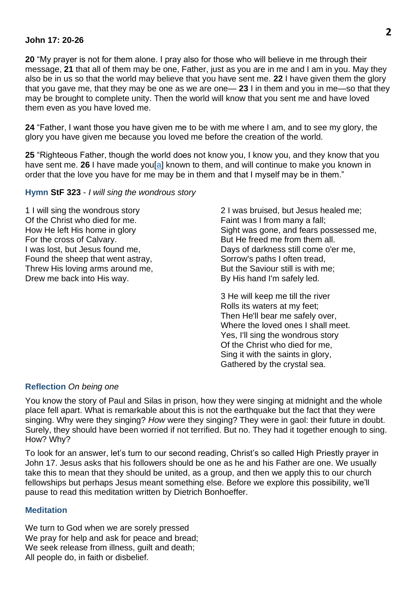#### **John 17: 20-26**

**20** "My prayer is not for them alone. I pray also for those who will believe in me through their message, **21** that all of them may be one, Father, just as you are in me and I am in you. May they also be in us so that the world may believe that you have sent me. **22** I have given them the glory that you gave me, that they may be one as we are one— **23** I in them and you in me—so that they may be brought to complete unity. Then the world will know that you sent me and have loved them even as you have loved me.

**24** "Father, I want those you have given me to be with me where I am, and to see my glory, the glory you have given me because you loved me before the creation of the world.

**25** "Righteous Father, though the world does not know you, I know you, and they know that you have sent me. **26** I have made you[\[a\]](https://www.biblegateway.com/passage/?search=John%2017:20-26&version=NIV#fen-NIV-26786a) known to them, and will continue to make you known in order that the love you have for me may be in them and that I myself may be in them."

#### **Hymn StF 323** - *I will sing the wondrous story*

1 I will sing the wondrous story Of the Christ who died for me. How He left His home in glory For the cross of Calvary. I was lost, but Jesus found me, Found the sheep that went astray, Threw His loving arms around me, Drew me back into His way.

2 I was bruised, but Jesus healed me; Faint was I from many a fall; Sight was gone, and fears possessed me, But He freed me from them all. Days of darkness still come o'er me, Sorrow's paths I often tread, But the Saviour still is with me; By His hand I'm safely led.

3 He will keep me till the river Rolls its waters at my feet; Then He'll bear me safely over, Where the loved ones I shall meet. Yes, I'll sing the wondrous story Of the Christ who died for me, Sing it with the saints in glory, Gathered by the crystal sea.

#### **Reflection** *On being one*

You know the story of Paul and Silas in prison, how they were singing at midnight and the whole place fell apart. What is remarkable about this is not the earthquake but the fact that they were singing. Why were they singing? *How* were they singing? They were in gaol: their future in doubt. Surely, they should have been worried if not terrified. But no. They had it together enough to sing. How? Why?

To look for an answer, let's turn to our second reading, Christ's so called High Priestly prayer in John 17. Jesus asks that his followers should be one as he and his Father are one. We usually take this to mean that they should be united, as a group, and then we apply this to our church fellowships but perhaps Jesus meant something else. Before we explore this possibility, we'll pause to read this meditation written by Dietrich Bonhoeffer.

#### **Meditation**

We turn to God when we are sorely pressed We pray for help and ask for peace and bread; We seek release from illness, guilt and death; All people do, in faith or disbelief.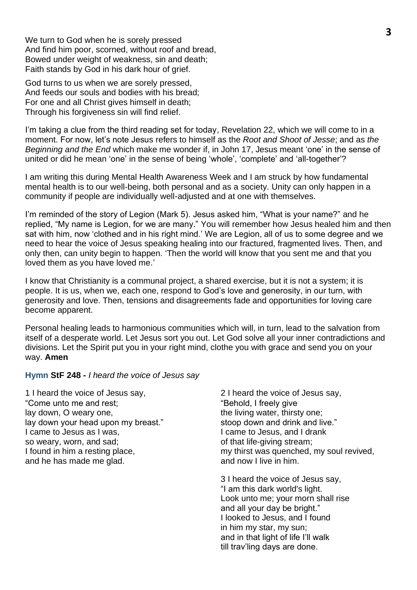We turn to God when he is sorely pressed And find him poor, scorned, without roof and bread, Bowed under weight of weakness, sin and death; Faith stands by God in his dark hour of grief.

God turns to us when we are sorely pressed, And feeds our souls and bodies with his bread; For one and all Christ gives himself in death; Through his forgiveness sin will find relief.

I'm taking a clue from the third reading set for today, Revelation 22, which we will come to in a moment. For now, let's note Jesus refers to himself as the *Root and Shoot of Jesse*; and as *the Beginning and the End* which make me wonder if, in John 17, Jesus meant 'one' in the sense of united or did he mean 'one' in the sense of being 'whole', 'complete' and 'all-together'?

I am writing this during Mental Health Awareness Week and I am struck by how fundamental mental health is to our well-being, both personal and as a society. Unity can only happen in a community if people are individually well-adjusted and at one with themselves.

I'm reminded of the story of Legion (Mark 5). Jesus asked him, "What is your name?" and he replied, "My name is Legion, for we are many." You will remember how Jesus healed him and then sat with him, now 'clothed and in his right mind.' We are Legion, all of us to some degree and we need to hear the voice of Jesus speaking healing into our fractured, fragmented lives. Then, and only then, can unity begin to happen. 'Then the world will know that you sent me and that you loved them as you have loved me.'

I know that Christianity is a communal project, a shared exercise, but it is not a system; it is people. It is us, when we, each one, respond to God's love and generosity, in our turn, with generosity and love. Then, tensions and disagreements fade and opportunities for loving care become apparent.

Personal healing leads to harmonious communities which will, in turn, lead to the salvation from itself of a desperate world. Let Jesus sort you out. Let God solve all your inner contradictions and divisions. Let the Spirit put you in your right mind, clothe you with grace and send you on your way. **Amen**

#### **Hymn StF 248 -** *I heard the voice of Jesus say*

1 I heard the voice of Jesus say, "Come unto me and rest; lay down, O weary one, lay down your head upon my breast." I came to Jesus as I was, so weary, worn, and sad; I found in him a resting place, and he has made me glad.

2 I heard the voice of Jesus say, "Behold, I freely give the living water, thirsty one; stoop down and drink and live." I came to Jesus, and I drank of that life-giving stream; my thirst was quenched, my soul revived, and now I live in him.

3 I heard the voice of Jesus say, "I am this dark world's light. Look unto me; your morn shall rise and all your day be bright." I looked to Jesus, and I found in him my star, my sun; and in that light of life I'll walk till trav'ling days are done.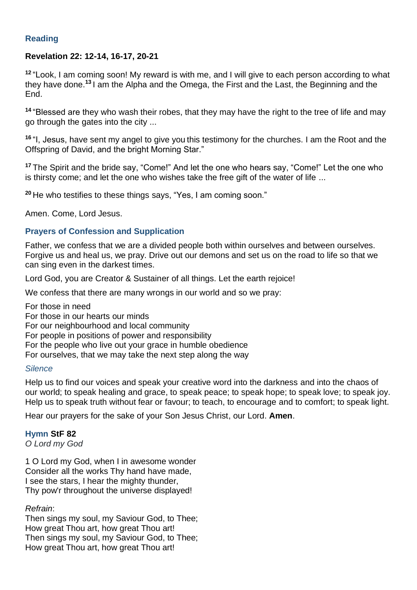## **Reading**

## **Revelation 22: 12-14, 16-17, 20-21**

**<sup>12</sup>** "Look, I am coming soon! My reward is with me, and I will give to each person according to what they have done.**<sup>13</sup>** I am the Alpha and the Omega, the First and the Last, the Beginning and the End.

**<sup>14</sup>** "Blessed are they who wash their robes, that they may have the right to the tree of life and may go through the gates into the city ...

**<sup>16</sup>** "I, Jesus, have sent my angel to give you this testimony for the churches. I am the Root and the Offspring of David, and the bright Morning Star."

**<sup>17</sup>** The Spirit and the bride say, "Come!" And let the one who hears say, "Come!" Let the one who is thirsty come; and let the one who wishes take the free gift of the water of life ...

**<sup>20</sup>** He who testifies to these things says, "Yes, I am coming soon."

Amen. Come, Lord Jesus.

## **Prayers of Confession and Supplication**

Father, we confess that we are a divided people both within ourselves and between ourselves. Forgive us and heal us, we pray. Drive out our demons and set us on the road to life so that we can sing even in the darkest times.

Lord God, you are Creator & Sustainer of all things. Let the earth rejoice!

We confess that there are many wrongs in our world and so we pray:

For those in need For those in our hearts our minds For our neighbourhood and local community For people in positions of power and responsibility For the people who live out your grace in humble obedience For ourselves, that we may take the next step along the way

#### *Silence*

Help us to find our voices and speak your creative word into the darkness and into the chaos of our world; to speak healing and grace, to speak peace; to speak hope; to speak love; to speak joy. Help us to speak truth without fear or favour; to teach, to encourage and to comfort; to speak light.

Hear our prayers for the sake of your Son Jesus Christ, our Lord. **Amen**.

## **Hymn StF 82**

*O Lord my God*

1 O Lord my God, when I in awesome wonder Consider all the works Thy hand have made, I see the stars, I hear the mighty thunder, Thy pow'r throughout the universe displayed!

#### *Refrain*:

Then sings my soul, my Saviour God, to Thee; How great Thou art, how great Thou art! Then sings my soul, my Saviour God, to Thee; How great Thou art, how great Thou art!